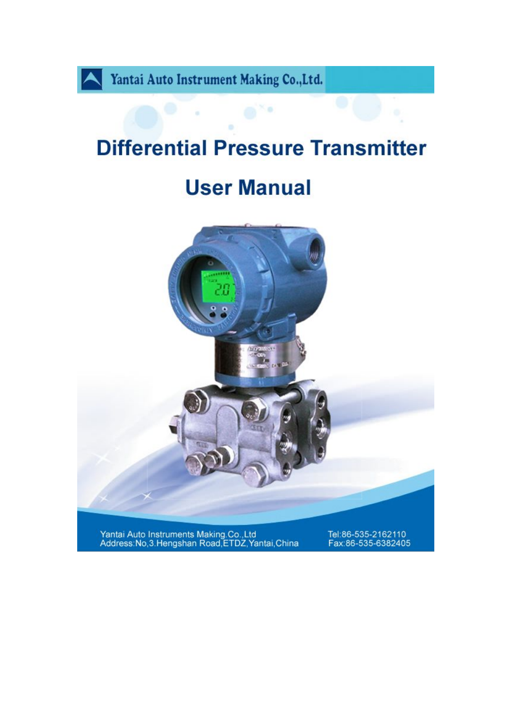

# **Differential Pressure Transmitter**

# **User Manual**



Yantai Auto Instruments Making.Co.,Ltd<br>Address:No,3.Hengshan Road,ETDZ,Yantai,China

Tel:86-535-2162110<br>Fax:86-535-6382405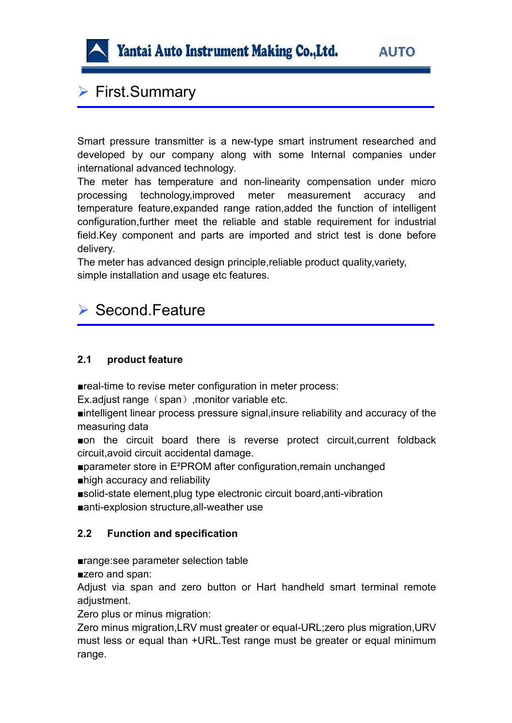

# ▶ First.Summary

Smart pressure transmitter is a new-type smart instrument researched and developed by our company along with some Internal companies under international advanced technology.

The meter has temperature and non-linearity compensation under micro processing technology,improved meter measurement accuracy and temperature feature,expanded range ration,added the function of intelligent configuration,further meet the reliable and stable requirement for industrial field.Key component and parts are imported and strict test is done before delivery.

The meter has advanced design principle,reliable product quality,variety, simple installation and usage etc features.

## $\triangleright$  Second Feature

#### **2.1 product feature**

■real-time to revise meter configuration in meter process:

Ex.adjust range (span), monitor variable etc.

■intelligent linear process pressure signal,insure reliability and accuracy of the measuring data

■on the circuit board there is reverse protect circuit,current foldback circuit,avoid circuit accidental damage.

■parameter store in E<sup>2</sup>PROM after configuration, remain unchanged ■high accuracy and reliability

■solid-state element, plug type electronic circuit board, anti-vibration ■anti-explosion structure, all-weather use

#### **2.2 Function and specification**

■range: see parameter selection table

■zero and span:

Adjust via span and zero button or Hart handheld smart terminal remote adjustment.

Zero plus or minus migration:

Zero minus migration,LRV must greater or equal-URL;zero plus migration,URV must less or equal than +URL.Test range must be greater or equal minimum range.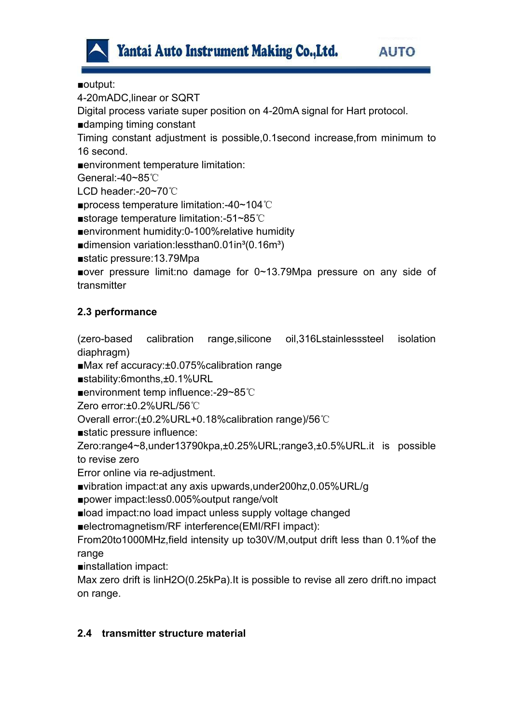

■output:

4-20mADC,linear or SQRT

Digital process variate super position on 4-20mA signal for Hart protocol.

■damping timing constant

Timing constant adjustment is possible,0.1second increase,from minimum to 16 second.

■environment temperature limitation:

General:-40~85℃

LCD header:-20~70℃

■process temperature limitation:-40~104℃

■storage temperature limitation:-51~85℃

■environment humidity:0-100%relative humidity

■dimension variation:lessthan0.01in<sup>3</sup>(0.16m<sup>3</sup>)

■static pressure:13.79Mpa

■over pressure limit:no damage for 0~13.79Mpa pressure on any side of transmitter

#### **2.3 performance**

(zero-based calibration range,silicone oil,316Lstainlesssteel isolation diaphragm)

■Max ref accuracy:±0.075%calibration range

■stability:6months,±0.1%URL

■environment temp influence:-29~85℃

Zero error:±0.2%URL/56℃

Overall error:(±0.2%URL+0.18%calibration range)/56℃

■static pressure influence:

Zero:range4~8,under13790kpa,±0.25%URL;range3,±0.5%URL.it is possible to revise zero

Error online via re-adjustment.

■vibration impact: at any axis upwards, under 200hz, 0.05% URL/g

■power impact:less0.005%output range/volt

■load impact:no load impact unless supply voltage changed

■electromagnetism/RF interference(EMI/RFI impact):

From20to1000MHz,field intensity up to30V/M,output drift less than 0.1%of the range

■installation impact:

Max zero drift is linH2O(0.25kPa).It is possible to revise all zero drift.no impact on range.

#### **2.4 transmitter structure material**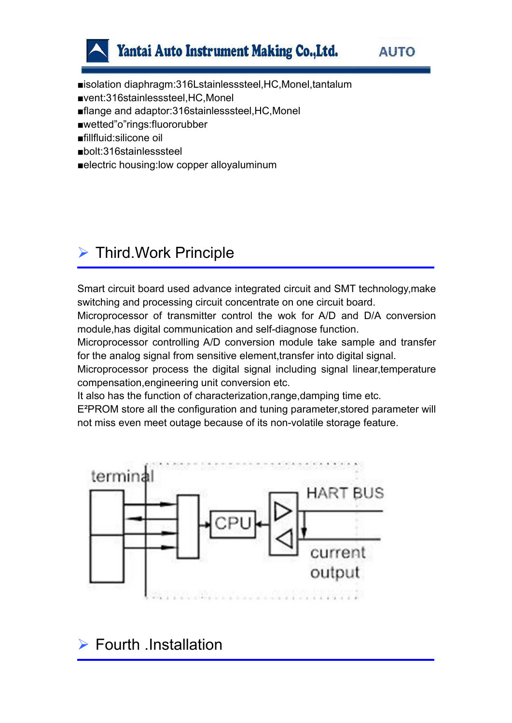

■isolation diaphragm:316Lstainlesssteel,HC,Monel,tantalum ■vent:316stainlesssteel,HC,Monel ■flange and adaptor:316stainlesssteel, HC, Monel

■wetted"o"rings:fluororubber

■fillfluid:silicone oil

■bolt:316stainlesssteel

■electric housing:low copper alloyaluminum

# $\triangleright$  Third. Work Principle

Smart circuit board used advance integrated circuit and SMT technology,make switching and processing circuit concentrate on one circuit board.

Microprocessor of transmitter control the wok for A/D and D/A conversion module,has digital communication and self-diagnose function.

Microprocessor controlling A/D conversion module take sample and transfer for the analog signal from sensitive element, transfer into digital signal.

Microprocessor process the digital signal including signal linear,temperature compensation,engineering unit conversion etc.

It also has the function of characterization,range,damping time etc.

E²PROM store all the configuration and tuning parameter,stored parameter will not miss even meet outage because of its non-volatile storage feature.



 $\triangleright$  Fourth .Installation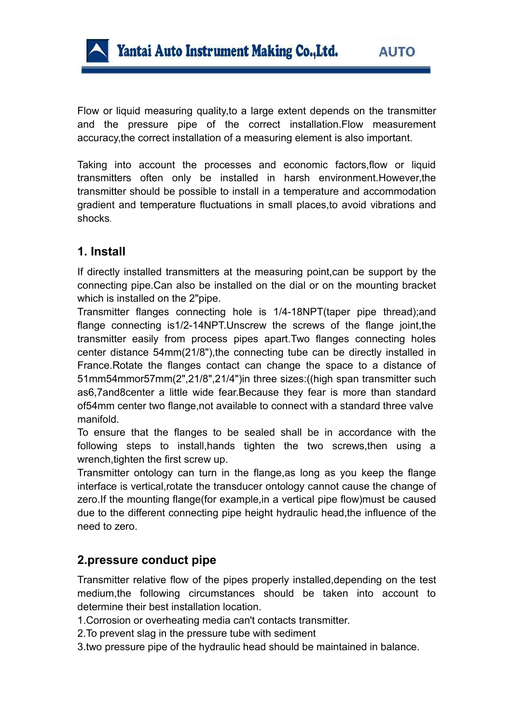

Flow or liquid measuring quality,to a large extent depends on the transmitter and the pressure pipe of the correct installation.Flow measurement accuracy,the correct installation of a measuring element is also important.

Taking into account the processes and economic factors,flow or liquid transmitters often only be installed in harsh environment.However,the transmitter should be possible to install in a temperature and accommodation gradient and temperature fluctuations in small places,to avoid vibrations and shocks.

## **1. Install**

If directly installed transmitters at the measuring point,can be support by the connecting pipe.Can also be installed on the dial or on the mounting bracket which is installed on the 2"pipe.

Transmitter flanges connecting hole is 1/4-18NPT(taper pipe thread);and flange connecting is1/2-14NPT.Unscrew the screws of the flange joint,the transmitter easily from process pipes apart.Two flanges connecting holes center distance 54mm(21/8"), the connecting tube can be directly installed in France.Rotate the flanges contact can change the space to a distance of 51mm54mmor57mm(2",21/8",21/4")in three sizes:((high span transmitter such as6,7and8center a little wide fear.Because they fear is more than standard of54mm center two flange,not available to connect with a standard three valve manifold.

To ensure that the flanges to be sealed shall be in accordance with the following steps to install,hands tighten the two screws,then using a wrench,tighten the first screw up.

Transmitter ontology can turn in the flange,as long as you keep the flange interface is vertical,rotate the transducer ontology cannot cause the change of zero.If the mounting flange(for example,in a vertical pipe flow)must be caused due to the different connecting pipe height hydraulic head, the influence of the need to zero.

## **2.pressure conduct pipe**

Transmitter relative flow of the pipes properly installed,depending on the test medium,the following circumstances should be taken into account to determine their best installation location.

1.Corrosion or overheating media can't contacts transmitter.

2.To prevent slag in the pressure tube with sediment

3.two pressure pipe of the hydraulic head should be maintained in balance.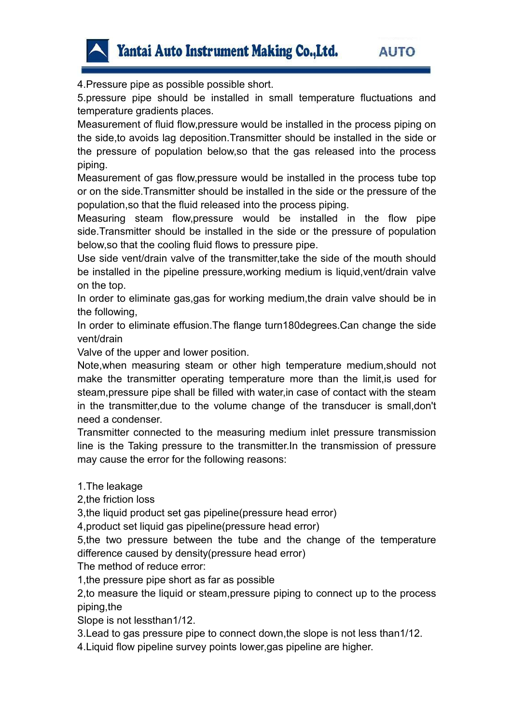

4.Pressure pipe as possible possible short.

5.pressure pipe should be installed in small temperature fluctuations and temperature gradients places.

Measurement of fluid flow,pressure would be installed in the process piping on the side,to avoids lag deposition.Transmitter should be installed in the side or the pressure of population below,so that the gas released into the process piping.

Measurement of gas flow,pressure would be installed in the process tube top or on the side. Transmitter should be installed in the side or the pressure of the population,so that the fluid released into the process piping.

Measuring steam flow,pressure would be installed in the flow pipe side.Transmitter should be installed in the side or the pressure of population below,so that the cooling fluid flows to pressure pipe.

Use side vent/drain valve of the transmitter,take the side of the mouth should be installed in the pipeline pressure,working medium is liquid,vent/drain valve on the top.

In order to eliminate gas,gas for working medium, the drain valve should be in the following,

In order to eliminate effusion.The flange turn180degrees.Can change the side vent/drain

Valve of the upper and lower position.

Note,when measuring steam or other high temperature medium,should not make the transmitter operating temperature more than the limit,is used for steam,pressure pipe shall be filled with water,in case of contact with the steam in the transmitter,due to the volume change of the transducer is small,don't need a condenser.

Transmitter connected to the measuring medium inlet pressure transmission line is the Taking pressure to the transmitter.In the transmission of pressure may cause the error for the following reasons:

1.The leakage

2,the friction loss

3, the liquid product set gas pipeline (pressure head error)

4,product set liquid gas pipeline(pressure head error)

5,the two pressure between the tube and the change of the temperature difference caused by density(pressure head error)

The method of reduce error:

1,the pressure pipe short as far as possible

2,to measure the liquid or steam,pressure piping to connect up to the process piping,the

Slope is not lessthan1/12.

3.Lead to gas pressure pipe to connect down,the slope is not less than1/12.

4.Liquid flow pipeline survey points lower,gas pipeline are higher.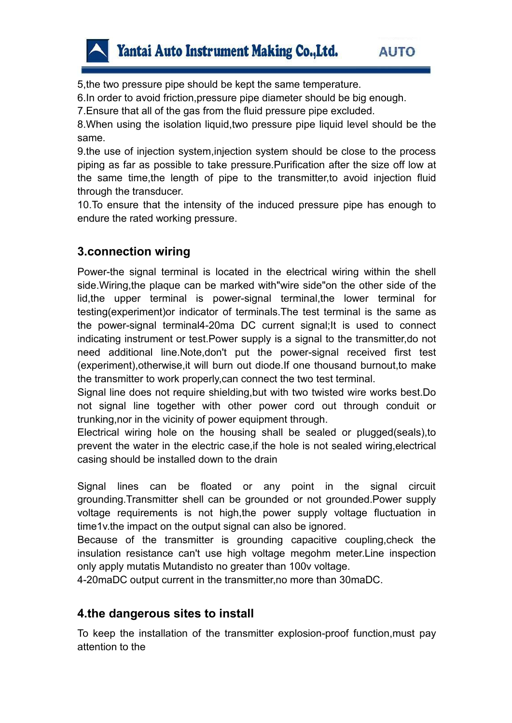5,the two pressure pipe should be kept the same temperature.

6.In order to avoid friction,pressure pipe diameter should be big enough.

7.Ensure that all of the gas from the fluid pressure pipe excluded.

8.When using the isolation liquid,two pressure pipe liquid level should be the same.

9.the use of injection system,injection system should be close to the process piping as far as possible to take pressure.Purification after the size off low at the same time,the length of pipe to the transmitter,to avoid injection fluid through the transducer.

10.To ensure that the intensity of the induced pressure pipe has enough to endure the rated working pressure.

## **3.connection wiring**

Power-the signal terminal is located in the electrical wiring within the shell side.Wiring,the plaque can be marked with"wire side"on the other side of the lid,the upper terminal is power-signal terminal,the lower terminal for testing(experiment)or indicator of terminals.The test terminal is the same as the power-signal terminal4-20ma DC current signal;It is used to connect indicating instrument or test.Power supply is a signal to the transmitter,do not need additional line.Note,don't put the power-signal received first test (experiment),otherwise,it will burn out diode.If one thousand burnout,to make the transmitter to work properly,can connect the two test terminal.

Signal line does not require shielding,but with two twisted wire works best.Do not signal line together with other power cord out through conduit or trunking,nor in the vicinity of power equipment through.

Electrical wiring hole on the housing shall be sealed or plugged(seals),to prevent the water in the electric case, if the hole is not sealed wiring, electrical casing should be installed down to the drain

Signal lines can be floated or any point in the signal circuit grounding.Transmitter shell can be grounded or not grounded.Power supply voltage requirements is not high,the power supply voltage fluctuation in time1v.the impact on the output signal can also be ignored.

Because of the transmitter is grounding capacitive coupling,check the insulation resistance can't use high voltage megohm meter.Line inspection only apply mutatis Mutandisto no greater than 100v voltage.

4-20maDC output current in the transmitter,no more than 30maDC.

#### **4.the dangerous sites to install**

To keep the installation of the transmitter explosion-proof function,must pay attention to the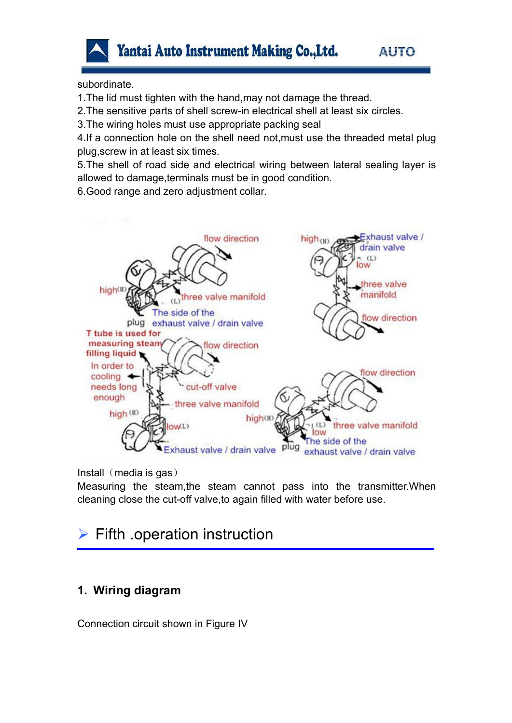

subordinate.

1.The lid must tighten with the hand,may not damage the thread.

2.The sensitive parts of shell screw-in electrical shell at least six circles.

3.The wiring holes must use appropriate packing seal

4.If a connection hole on the shell need not,must use the threaded metal plug plug,screw in at least six times.

5.The shell of road side and electrical wiring between lateral sealing layer is allowed to damage,terminals must be in good condition.

6.Good range and zero adjustment collar.



Install  $(media is gas)$ 

Measuring the steam,the steam cannot pass into the transmitter.When cleaning close the cut-off valve,to again filled with water before use.

# $\triangleright$  Fifth .operation instruction

## **1. Wiring diagram**

Connection circuit shown in Figure IV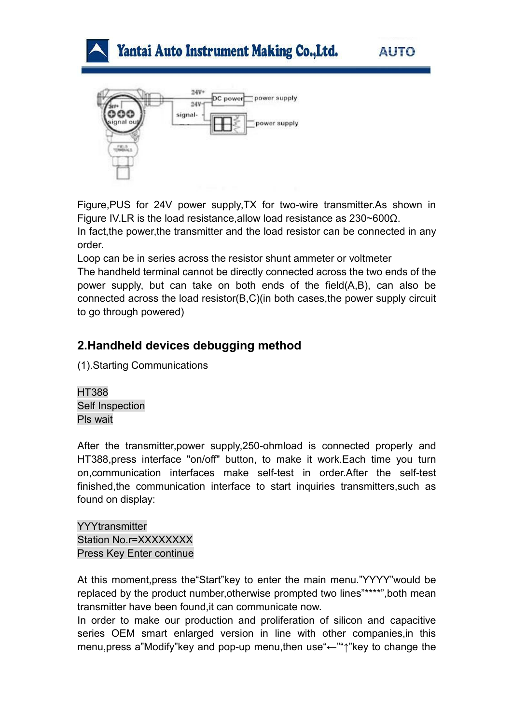





Figure,PUS for 24V power supply,TX for two-wire transmitter.As shown in Figure IV.LR is the load resistance,allow load resistance as 230~600Ω. In fact,the power,the transmitter and the load resistor can be connected in any

order.

Loop can be in series across the resistor shunt ammeter or voltmeter

The handheld terminal cannot be directly connected across the two ends of the power supply, but can take on both ends of the field(A,B), can also be connected across the load resistor(B,C)(in both cases,the power supply circuit to go through powered)

## **2.Handheld devices debugging method**

(1).Starting Communications

HT388 Self Inspection Pls wait

After the transmitter,power supply,250-ohmload is connected properly and HT388,press interface "on/off" button, to make it work.Each time you turn on,communication interfaces make self-test in order.After the self-test finished,the communication interface to start inquiries transmitters,such as found on display:

**YYYtransmitter** Station No.r=XXXXXXXX Press Key Enter continue

At this moment,press the"Start"key to enter the main menu."YYYY"would be replaced by the product number,otherwise prompted two lines"\*\*\*\*",both mean transmitter have been found,it can communicate now.

In order to make our production and proliferation of silicon and capacitive series OEM smart enlarged version in line with other companies,in this menu,press a"Modify"key and pop-up menu,then use"←""↑"key to change the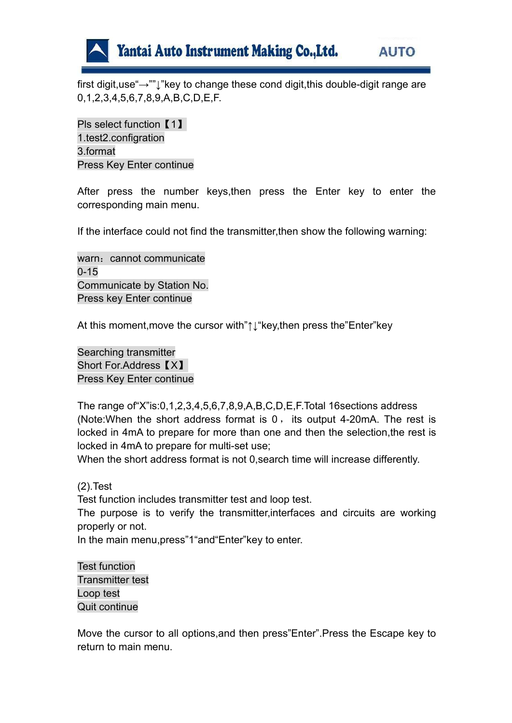

first digit,use"→""↓"key to change these cond digit,this double-digit range are 0,1,2,3,4,5,6,7,8,9,A,B,C,D,E,F.

Pls select function 【1】 1.test2.configration 3.format Press Key Enter continue

After press the number keys, then press the Enter key to enter the corresponding main menu.

If the interface could not find the transmitter,then show the following warning:

warn: cannot communicate 0-15 Communicate by Station No. Press key Enter continue

At this moment,move the cursor with"↑↓"key,then press the"Enter"key

Searching transmitter Short For.Address 【X】 Press Key Enter continue

The range of"X"is:0,1,2,3,4,5,6,7,8,9,A,B,C,D,E,F.Total 16sections address (Note:When the short address format is 0 , its output 4-20mA. The rest is locked in 4mA to prepare for more than one and then the selection,the rest is locked in 4mA to prepare for multi-set use;

When the short address format is not 0,search time will increase differently.

(2).Test

Test function includes transmitter test and loop test.

The purpose is to verify the transmitter,interfaces and circuits are working properly or not.

In the main menu,press"1"and"Enter"key to enter.

Test function Transmitter test Loop test Quit continue

Move the cursor to all options,and then press"Enter".Press the Escape key to return to main menu.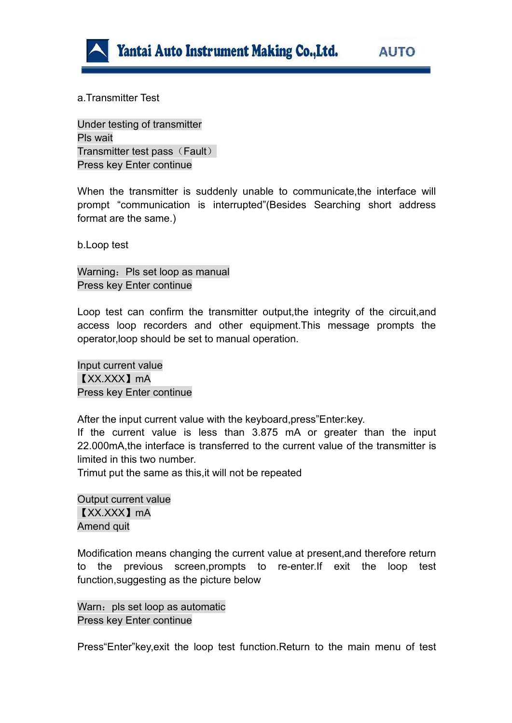

a.Transmitter Test

Under testing of transmitter Pls wait Transmitter test pass (Fault) Press key Enter continue

When the transmitter is suddenly unable to communicate,the interface will prompt "communication is interrupted"(Besides Searching short address format are the same.)

b.Loop test

Warning: Pls set loop as manual Press key Enter continue

Loop test can confirm the transmitter output,the integrity of the circuit,and access loop recorders and other equipment.This message prompts the operator,loop should be set to manual operation.

Input current value 【XX.XXX】mA Press key Enter continue

After the input current value with the keyboard,press"Enter:key. If the current value is less than 3.875 mA or greater than the input 22.000mA, the interface is transferred to the current value of the transmitter is limited in this two number.

Trimut put the same as this,it will not be repeated

Output current value 【XX.XXX】mA Amend quit

Modification means changing the current value at present,and therefore return to the previous screen,prompts to re-enter.If exit the loop test function,suggesting as the picture below

Warn: pls set loop as automatic Press key Enter continue

Press"Enter"key,exit the loop test function.Return to the main menu of test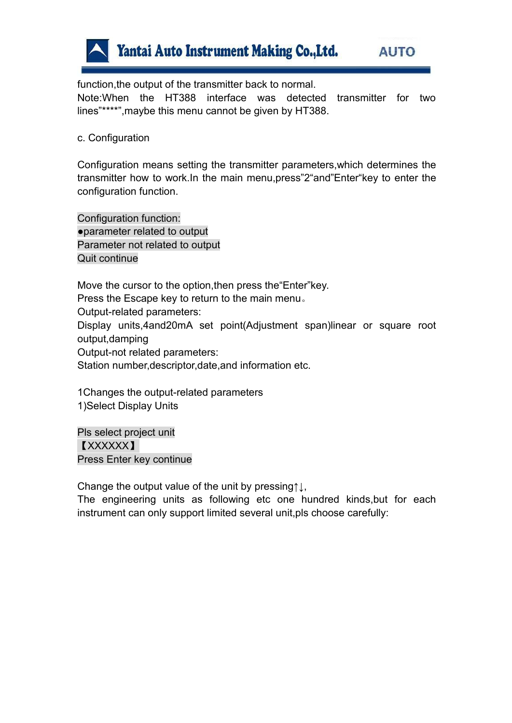

function,the output of the transmitter back to normal.

Note:When the HT388 interface was detected transmitter for two lines"\*\*\*\*",maybe this menu cannot be given by HT388.

#### c. Configuration

Configuration means setting the transmitter parameters,which determines the transmitter how to work.In the main menu,press"2"and"Enter"key to enter the configuration function.

Configuration function: ●parameter related to output Parameter not related to output Quit continue

Move the cursor to the option,then press the"Enter"key. Press the Escape key to return to the main menu。 Output-related parameters: Display units,4and20mA set point(Adjustment span)linear or square root output,damping Output-not related parameters: Station number,descriptor,date,and information etc.

1Changes the output-related parameters 1)Select Display Units

Pls select project unit 【XXXXXX】 Press Enter key continue

Change the output value of the unit by pressing↑↓,

The engineering units as following etc one hundred kinds, but for each instrument can only support limited several unit, pls choose carefully: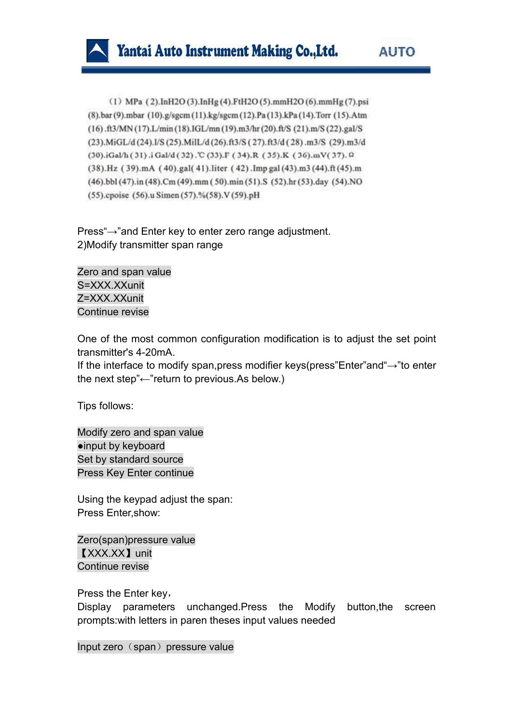

(1) MPa (2).InH2O(3).InHg(4).FtH2O(5).mmH2O(6).mmHg(7).psi (8).bar (9).mbar (10).g/sgcm (11).kg/sgcm (12).Pa (13).kPa (14).Torr (15).Atm (16).ft3/MN (17).L/min (18).IGL/mn (19).m3/hr (20).ft/S (21).m/S (22).gal/S (23).MiGL/d(24).I/S(25).MilL/d(26).ft3/S(27).ft3/d(28).m3/S(29).m3/d (30).iGal/h (31).iGal/d (32).℃ (33).F (34).R (35).K (36).mV(37).<sup>Q</sup> (38).Hz (39).mA (40).gal(41).liter (42).Imp gal (43).m3 (44).ft (45).m (46).bbl (47).in (48).Cm (49).mm (50).min (51).S (52).hr (53).day (54).NO (55).cpoise (56).u Simen (57).%(58).V (59).pH

Press"→"and Enter key to enter zero range adjustment. 2)Modify transmitter span range

Zero and span value S=XXX.XXunit Z=XXX.XXunit Continue revise

One of the most common configuration modification is to adjust the set point transmitter's 4-20mA.

If the interface to modify span,press modifier keys(press"Enter"and"→"to enter the next step"←"return to previous.As below.)

Tips follows:

Modify zero and span value ●input by keyboard Set by standard source Press Key Enter continue

Using the keypad adjust the span: Press Enter,show:

Zero(span)pressure value 【XXX.XX】unit Continue revise

Press the Enter key,

Display parameters unchanged.Press the Modify button,the screen prompts:with letters in paren theses input values needed

Input zero (span) pressure value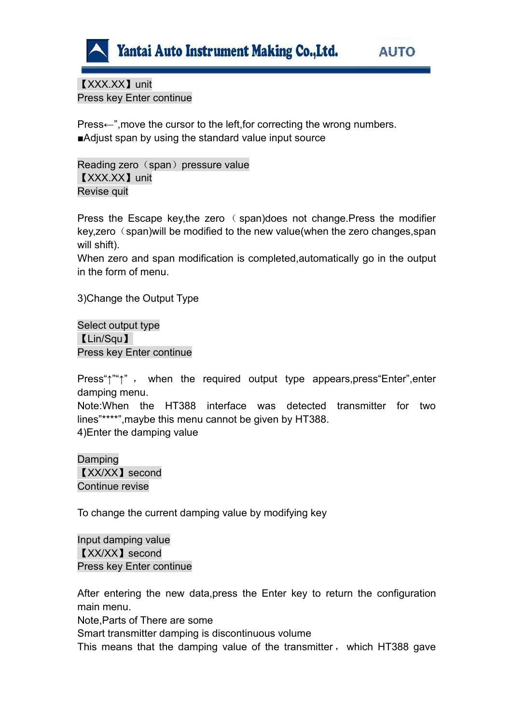

【XXX.XX】unit Press key Enter continue

Press←",move the cursor to the left,for correcting the wrong numbers. ■Adjust span by using the standard value input source

Reading zero (span) pressure value 【XXX.XX】unit Revise quit

Press the Escape key,the zero ( span)does not change.Press the modifier key, zero (span) will be modified to the new value (when the zero changes, span will shift).

When zero and span modification is completed,automatically go in the output in the form of menu.

3)Change the Output Type

Select output type 【Lin/Squ】 Press key Enter continue

Press"↑""↑", when the required output type appears, press "Enter", enter damping menu.

Note:When the HT388 interface was detected transmitter for two lines"\*\*\*\*",maybe this menu cannot be given by HT388. 4)Enter the damping value

Damping 【XX/XX】second Continue revise

To change the current damping value by modifying key

Input damping value 【XX/XX】second Press key Enter continue

After entering the new data,press the Enter key to return the configuration main menu.

Note,Parts of There are some

Smart transmitter damping is discontinuous volume

This means that the damping value of the transmitter , which HT388 gave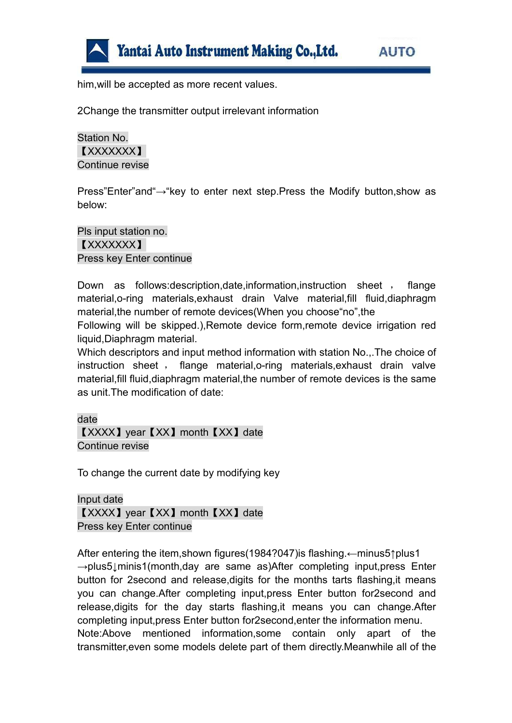

him,will be accepted as more recent values.

2Change the transmitter output irrelevant information

Station No. 【XXXXXXX】 Continue revise

Press"Enter"and"→"key to enter next step.Press the Modify button,show as below:

Pls input station no. 【XXXXXXX】 Press key Enter continue

Down as follows: description, date, information, instruction sheet, flange material,o-ring materials,exhaust drain Valve material,fill fluid,diaphragm material, the number of remote devices (When you choose "no", the

Following will be skipped.),Remote device form,remote device irrigation red liquid,Diaphragm material.

Which descriptors and input method information with station No.,.The choice of instruction sheet , flange material,o-ring materials,exhaust drain valve material,fill fluid,diaphragm material,the number of remote devices is the same as unit.The modification of date:

date

【XXXX】year【XX】month【XX】date Continue revise

To change the current date by modifying key

Input date 【XXXX】year【XX】month【XX】date Press key Enter continue

After entering the item,shown figures(1984?047)is flashing.←minus5↑plus1 →plus5↓minis1(month,day are same as)After completing input,press Enter button for 2second and release,digits for the months tarts flashing,it means you can change.After completing input,press Enter button for2second and release,digits for the day starts flashing,it means you can change.After completing input,press Enter button for2second,enter the information menu. Note:Above mentioned information,some contain only apart of the transmitter,even some models delete part of them directly.Meanwhile all of the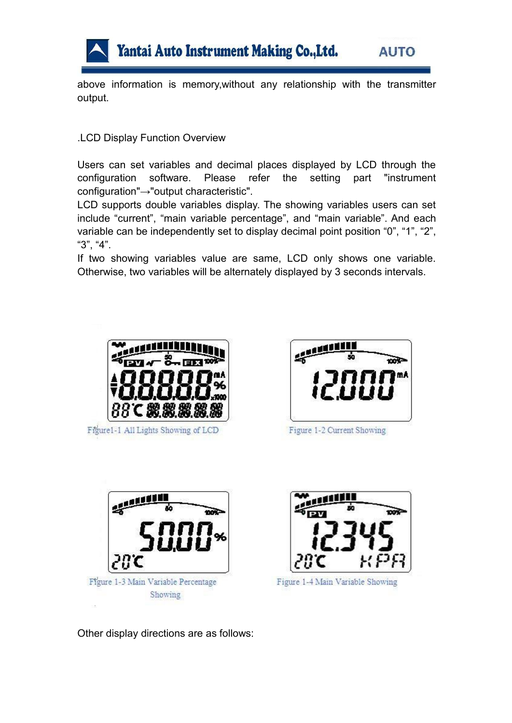

above information is memory,without any relationship with the transmitter output.

#### .LCD Display Function Overview

Users can set variables and decimal places displayed by LCD through the configuration software. Please refer the setting part "instrument configuration"→"output characteristic".

LCD supports double variables display. The showing variables users can set include "current", "main variable percentage", and "main variable". And each variable can be independently set to display decimal point position "0", "1", "2", "3", "3",

If two showing variables value are same, LCD only shows one variable. Otherwise, two variables will be alternately displayed by 3 seconds intervals.



Figure1-1 All Lights Showing of LCD



Figure 1-2 Current Showing





Figure 1-4 Main Variable Showing

Other display directions are as follows: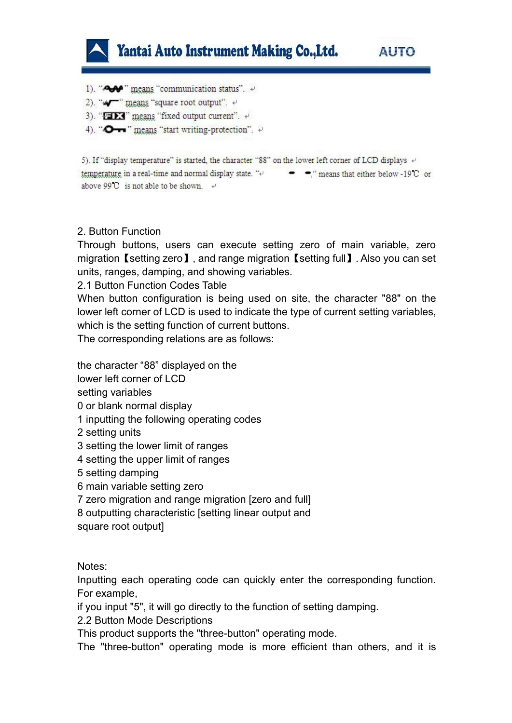

1). "A  $\rightarrow$  " means "communication status".  $\leftrightarrow$ 

- 2). "" means "square root output". +
- 3). "FIX" means "fixed output current". +
- 4). "O-r" means "start writing-protection".

5). If "display temperature" is started, the character "88" on the lower left corner of LCD displays  $\leftrightarrow$ temperature in a real-time and normal display state. "e  $\bullet$   $\bullet$ ," means that either below -19°C or above 99<sup>°</sup>C is not able to be shown  $\leftrightarrow$ 

#### 2. Button Function

Through buttons, users can execute setting zero of main variable, zero migration【setting zero】, and range migration【setting full】. Also you can set units, ranges, damping, and showing variables.

2.1 Button Function Codes Table

When button configuration is being used on site, the character "88" on the lower left corner of LCD is used to indicate the type of current setting variables, which is the setting function of current buttons.

The corresponding relations are as follows:

the character "88" displayed on the

lower left corner of LCD

setting variables

0 or blank normal display

- 1 inputting the following operating codes
- 2 setting units
- 3 setting the lower limit of ranges
- 4 setting the upper limit of ranges
- 5 setting damping
- 6 main variable setting zero
- 7 zero migration and range migration [zero and full]
- 8 outputting characteristic [setting linear output and

square root output]

#### Notes:

Inputting each operating code can quickly enter the corresponding function. For example,

if you input "5", it will go directly to the function of setting damping.

2.2 Button Mode Descriptions

This product supports the "three-button" operating mode.

The "three-button" operating mode is more efficient than others, and it is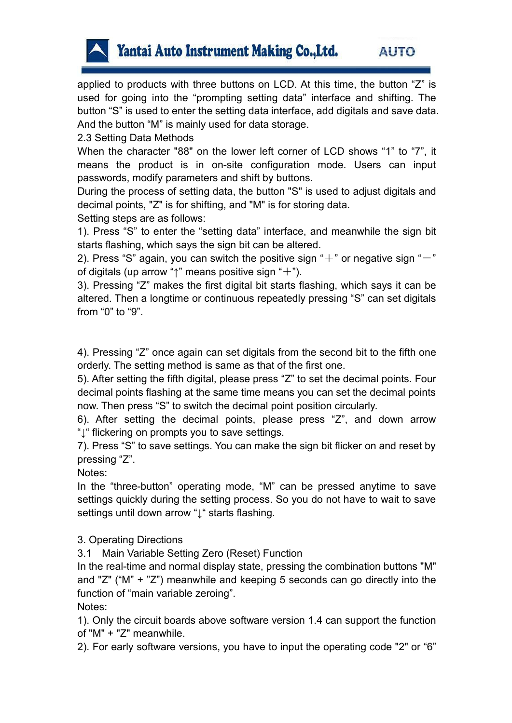

applied to products with three buttons on LCD. At this time, the button "Z" is used for going into the "prompting setting data" interface and shifting. The button "S" is used to enter the setting data interface, add digitals and save data. And the button "M" is mainly used for data storage.

2.3 Setting Data Methods

When the character "88" on the lower left corner of LCD shows "1" to "7", it means the product is in on-site configuration mode. Users can input passwords, modify parameters and shift by buttons.

During the process of setting data, the button "S" is used to adjust digitals and decimal points, "Z" is for shifting, and "M" is for storing data.

Setting steps are as follows:

1). Press "S" to enter the "setting data" interface, and meanwhile the sign bit starts flashing, which says the sign bit can be altered.

2). Press "S" again, you can switch the positive sign "+" or negative sign "-"<br>of digitals (up arrow "↑" means positive sign "+").

3). Pressing "Z" makes the first digital bit starts flashing, which says it can be altered. Then a longtime or continuous repeatedly pressing "S" can set digitals from "0" to "9".

4). Pressing "Z" once again can set digitals from the second bit to the fifth one orderly. The setting method is same as that of the first one.

5). After setting the fifth digital, please press "Z"to set the decimal points. Four decimal points flashing at the same time means you can set the decimal points now. Then press "S" to switch the decimal point position circularly.

6). After setting the decimal points, please press "Z", and down arrow "↓" flickering on prompts you to save settings.

7). Press "S" to save settings. You can make the sign bit flickeron and reset by pressing "Z".

Notes:

In the "three-button" operating mode, "M" can be pressed anytime to save settings quickly during the setting process. So you do not have to wait to save settings until down arrow "<sup>1</sup> starts flashing.

3. Operating Directions

3.1 Main Variable Setting Zero (Reset) Function

In the real-time and normal display state, pressing the combination buttons "M" and "Z" ("M" + "Z") meanwhile and keeping 5 seconds can go directly into the function of "main variable zeroing".

Notes:

1). Only the circuit boards above software version 1.4 can support the function of "M" + "Z" meanwhile.

2). For early software versions, you have to input the operating code "2" or "6"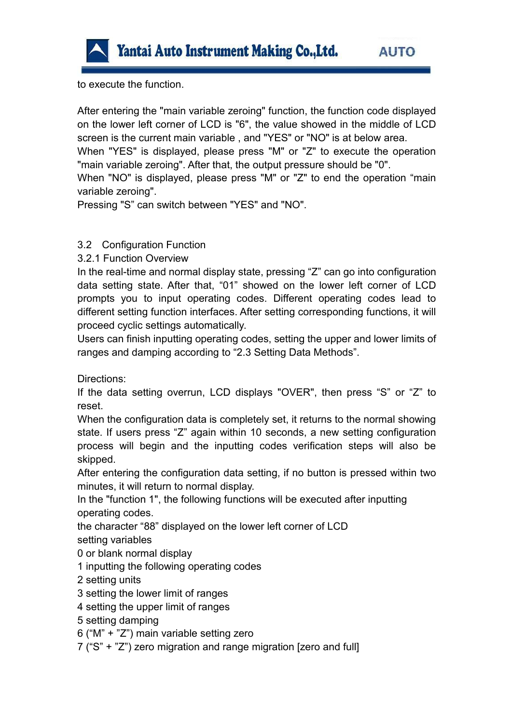

to execute the function.

After entering the "main variable zeroing" function, the function code displayed on the lower left corner of LCD is "6", the value showed in the middle of LCD screen is the current main variable , and "YES" or "NO" is at below area.

When "YES" is displayed, please press "M" or "Z" to execute the operation "main variable zeroing". After that, the output pressure should be "0".

When "NO" is displayed, please press "M" or "Z" to end the operation "main variable zeroing".

Pressing "S" can switch between "YES" and "NO".

#### 3.2 Configuration Function

3.2.1 Function Overview

In the real-time and normal display state, pressing "Z" can go into configuration data setting state. After that, "01" showed on the lower left corner of LCD prompts you to input operating codes. Different operating codes lead to different setting function interfaces. After setting corresponding functions, it will proceed cyclic settings automatically.

Users can finish inputting operating codes, setting the upper and lower limits of ranges and damping according to "2.3 Setting Data Methods".

Directions:

If the data setting overrun, LCD displays "OVER", then press "S" or "Z" to reset.

When the configuration data is completely set, it returns to the normal showing state. If users press "Z" again within 10 seconds, a new setting configuration process will begin and the inputting codes verification steps will also be skipped.

After entering the configuration data setting, if no button is pressed within two minutes, it will return to normal display.

In the "function 1", the following functions will be executed after inputting operating codes.

the character "88" displayed on the lower left corner of LCD setting variables

0 or blank normal display

1 inputting the following operating codes

2 setting units

3 setting the lower limit of ranges

4 setting the upper limit of ranges

5 setting damping

6 ("M" + "Z") main variable setting zero

7 ("S" + "Z") zero migration and range migration [zero and full]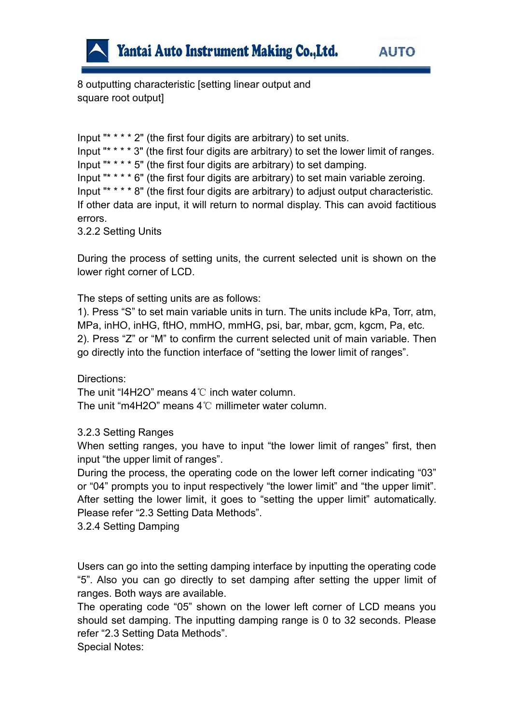

8 outputting characteristic [setting linear output and square root output]

Input " $* * * 2$ " (the first four digits are arbitrary) to set units. Input " $* * * * 3$ " (the first four digits are arbitrary) to set the lower limit of ranges. Input " $* * * * 5$ " (the first four digits are arbitrary) to set damping. Input " $* * * * 6$ " (the first four digits are arbitrary) to set main variable zeroing. Input " $* * * * 8$ " (the first four digits are arbitrary) to adjust output characteristic. If other data are input, it will return to normal display. This can avoid factitious errors.

3.2.2 Setting Units

During the process of setting units, the current selected unit is shown on the lower right corner of LCD.

The steps of setting units are as follows:

1). Press "S" to set main variable units in turn. The units include kPa, Torr, atm, MPa, inHO, inHG, ftHO, mmHO, mmHG, psi, bar, mbar, gcm, kgcm, Pa, etc. 2). Press "Z" or "M" to confirm the current selected unit of main variable. Then go directly into the function interface of "setting the lower limit of ranges".

Directions:

The unit "I4H2O" means 4℃ inch water column. The unit "m4H2O" means 4℃ millimeter water column.

3.2.3 Setting Ranges

When setting ranges, you have to input "the lower limit of ranges" first, then input "the upper limit of ranges".

During the process, the operating code on the lower left corner indicating "03" or "04" prompts you to input respectively "the lower limit" and "the upper limit". After setting the lower limit, it goes to "setting the upper limit" automatically. Please refer "2.3 Setting Data Methods".

3.2.4 Setting Damping

Users can go into the setting damping interface by inputting the operating code "5". Also you can go directly to set damping after setting the upper limit of ranges. Both ways are available.

The operating code "05" shown on the lower left corner of LCD means you should set damping. The inputting damping range is 0 to 32 seconds. Please refer "2.3 Setting Data Methods".

Special Notes: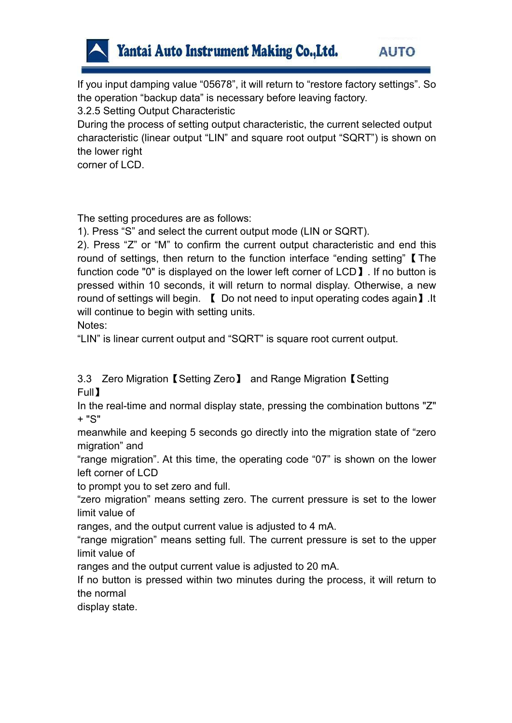

If you input damping value "05678", it will return to "restore factory settings".So the operation "backup data" is necessary before leaving factory.

3.2.5 Setting Output Characteristic

During the process of setting output characteristic, the current selected output characteristic (linear output "LIN" and square root output "SQRT") is shown on the lower right

corner of LCD.

The setting procedures are as follows:

1). Press "S" and select the current output mode (LIN or SQRT).

2). Press "Z" or "M" to confirm the current output characteristic and end this round of settings, then return to the function interface "ending setting" [The function code "0" is displayed on the lower left corner of LCD I. If no button is pressed within 10 seconds, it will return to normal display. Otherwise, a new round of settings will begin. 【 Do not need to input operating codes again】.It will continue to begin with setting units.

Notes:

"LIN" is linear current output and "SQRT" is square root current output.

3.3 Zero Migration【Setting Zero】 and Range Migration【Setting Full 】 the contract of the contract of the contract of the contract of the contract of the contract of the contract of the contract of the contract of the contract of the contract of the contract of the contract of the con

In the real-time and normal display state, pressing the combination buttons "Z" + "S"

meanwhile and keeping 5 seconds go directly into the migration state of "zero migration" and

"range migration". At this time, the operating code "07" is shown on the lower left corner of LCD

to prompt you to set zero and full.

"zero migration" means setting zero. The current pressure is set to the lower limit value of

ranges, and the output current value is adjusted to 4 mA.

"range migration" means setting full. The current pressure isset to the upper limit value of

ranges and the output current value is adjusted to 20 mA.

If no button is pressed within two minutes during the process, it will return to the normal

display state.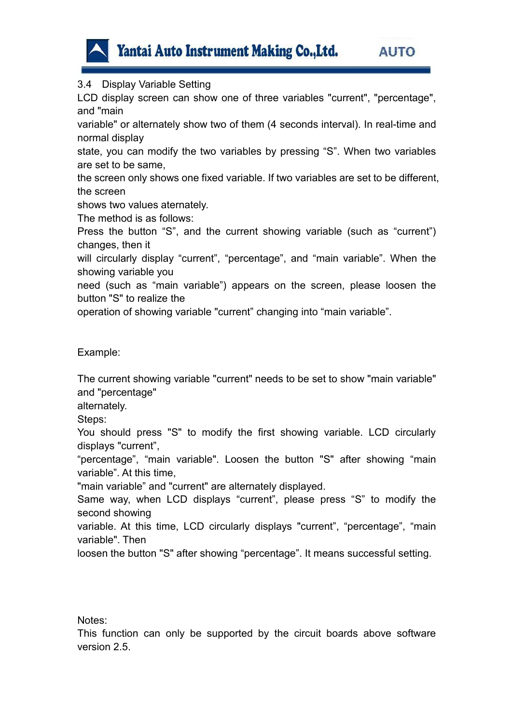

3.4 Display Variable Setting

LCD display screen can show one of three variables "current", "percentage", and "main

variable" or alternately show two of them (4 seconds interval). In real-time and normal display

state, you can modify the two variables by pressing "S". When two variables are set to be same,

the screen only shows one fixed variable. If two variables are set to be different, the screen

shows two values aternately.

The method is as follows:

Press the button "S", and the current showing variable (such as "current") changes, then it

will circularly display "current", "percentage", and "main variable". When the showing variable you

need (such as "main variable") appears on the screen, please loosen the button "S" to realize the

operation of showing variable "current" changing into "main variable".

Example:

The current showing variable "current" needs to be set to show "main variable" and "percentage"

alternately.

Steps:

You should press "S" to modify the first showing variable. LCD circularly displays "current",

"percentage", "main variable". Loosen the button "S" after showing "main variable". At this time,

"main variable" and "current" are alternately displayed.

Same way, when LCD displays "current", please press "S" to modify the second showing

variable. At this time, LCD circularly displays "current", "percentage", "main variable". Then

loosen the button "S" after showing "percentage". It means successful setting.

Notes:

This function can only be supported by the circuit boards above software version 2.5.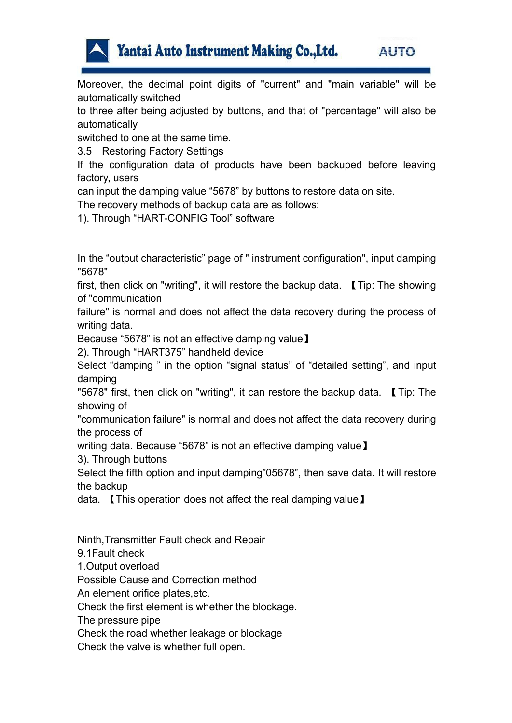

Moreover, the decimal point digits of "current" and "main variable" will be automatically switched

to three after being adjusted by buttons, and that of "percentage" will also be automatically

switched to one at the same time.

3.5 Restoring Factory Settings

If the configuration data of products have been backuped before leaving factory, users

can input the damping value "5678" by buttons to restore data on site.

The recovery methods of backup data are as follows:

1). Through "HART-CONFIG Tool" software

In the "output characteristic" page of " instrument configuration", input damping "5678"

first, then click on "writing", it will restore the backup data. 【Tip: The showing of "communication

failure" is normal and does not affect the data recovery during the process of writing data.

Because "5678" is not an effective damping value】

2). Through "HART375" handheld device

Select "damping " in the option "signal status" of "detailed setting", and input damping

"5678" first, then click on "writing", it can restore the backup data. 【Tip: The showing of

"communication failure" is normal and does not affect the data recovery during the process of

writing data. Because "5678" is not an effective damping value】

3). Through buttons

Select the fifth option and input damping"05678", then save data. It will restore the backup

data. 【This operation does not affect the real damping value】

Ninth,Transmitter Fault check and Repair

9.1Fault check

1.Output overload

Possible Cause and Correction method

An element orifice plates,etc.

Check the first element is whether the blockage.

The pressure pipe

Check the road whether leakage or blockage

Check the valve is whether full open.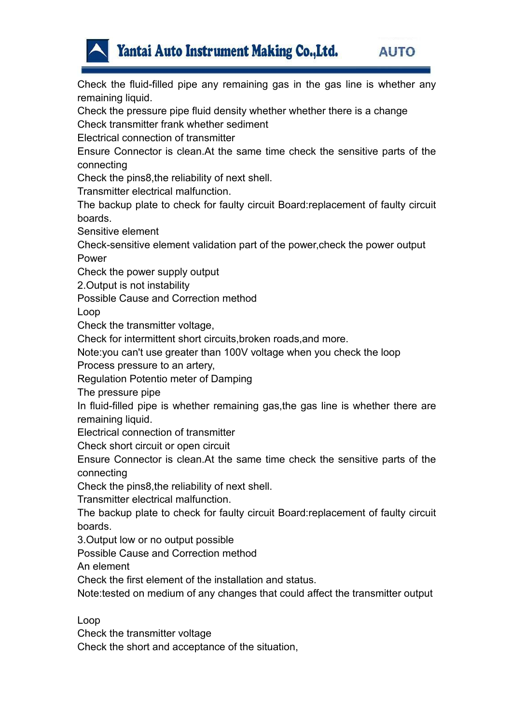

Check the fluid-filled pipe any remaining gas in the gas line is whether any remaining liquid.

Check the pressure pipe fluid density whether whether there is a change Check transmitter frank whether sediment

Electrical connection of transmitter

Ensure Connector is clean.At the same time check the sensitive parts of the connecting

Check the pins8, the reliability of next shell.

Transmitter electrical malfunction.

The backup plate to check for faulty circuit Board:replacement of faulty circuit boards.

Sensitive element

Check-sensitive element validation part of the power,check the power output Power

Check the power supply output

2.Output is not instability

Possible Cause and Correction method

Loop

Check the transmitter voltage,

Check for intermittent short circuits,broken roads,and more.

Note:you can't use greater than 100V voltage when you check the loop

Process pressure to an artery,

Regulation Potentio meter of Damping

The pressure pipe

In fluid-filled pipe is whether remaining gas, the gas line is whether there are remaining liquid.

Electrical connection of transmitter

Check short circuit or open circuit

Ensure Connector is clean.At the same time check the sensitive parts of the connecting

Check the pins8, the reliability of next shell.

Transmitter electrical malfunction.

The backup plate to check for faulty circuit Board:replacement of faulty circuit boards.

3.Output low or no output possible

Possible Cause and Correction method

An element

Check the first element of the installation and status.

Note:tested on medium of any changes that could affect the transmitter output

Loop

Check the transmitter voltage

Check the short and acceptance of the situation,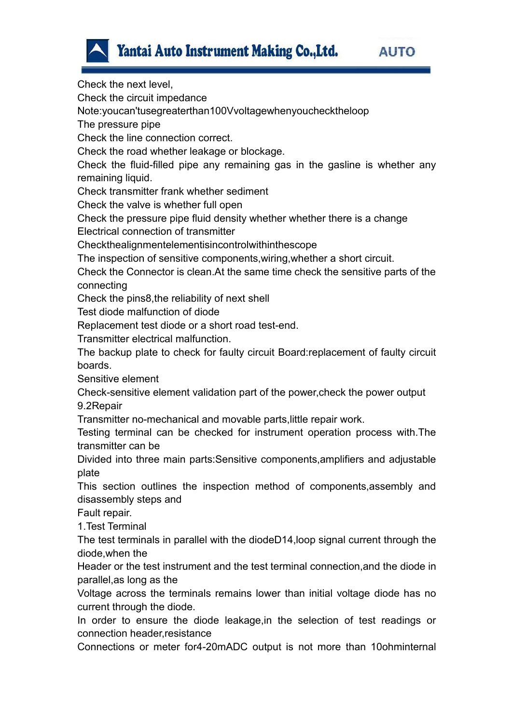



Check the next level, Check the circuit impedance Note:youcan'tusegreaterthan100Vvoltagewhenyouchecktheloop The pressure pipe Check the line connection correct. Check the road whether leakage or blockage. Check the fluid-filled pipe any remaining gas in the gasline is whether any remaining liquid. Check transmitter frank whether sediment Check the valve is whether full open Check the pressure pipe fluid density whether whether there is a change Electrical connection of transmitter Checkthealignmentelementisincontrolwithinthescope The inspection of sensitive components,wiring,whether a short circuit. Check the Connector is clean.At the same time check the sensitive parts of the connecting Check the pins8, the reliability of next shell Test diode malfunction of diode Replacement test diode or a short road test-end. Transmitter electrical malfunction. The backup plate to check for faulty circuit Board:replacement of faulty circuit boards. Sensitive element Check-sensitive element validation part of the power,check the power output 9.2Repair Transmitter no-mechanical and movable parts,little repair work. Testing terminal can be checked for instrument operation process with.The transmitter can be Divided into three main parts:Sensitive components,amplifiers and adjustable plate This section outlines the inspection method of components, assembly and disassembly steps and Fault repair. 1.Test Terminal The test terminals in parallel with the diodeD14,loop signal current through the diode,when the Header or the test instrument and the test terminal connection,and the diode in parallel,as long as the Voltage across the terminals remains lower than initial voltage diode has no current through the diode. In order to ensure the diode leakage,in the selection of test readings or connection header,resistance Connections or meter for4-20mADC output is not more than 10ohminternal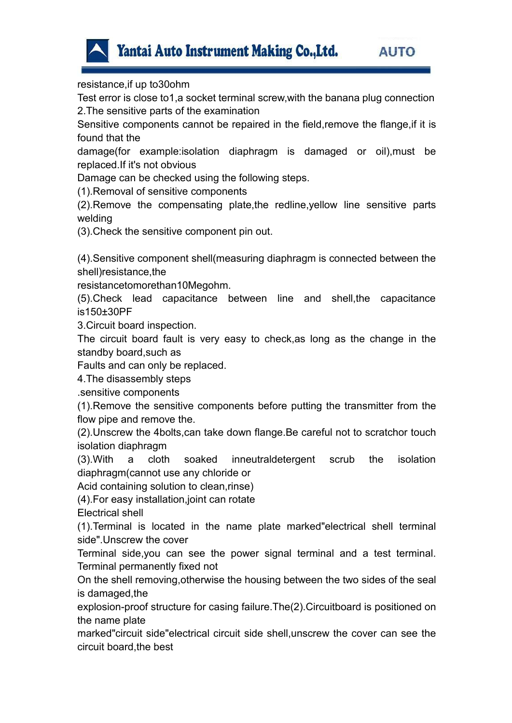

resistance,if up to30ohm

Test error is close to1,a socket terminal screw,with the banana plug connection 2.The sensitive parts of the examination

Sensitive components cannot be repaired in the field,remove the flange,if it is found that the

damage(for example:isolation diaphragm is damaged or oil),must be replaced.If it's not obvious

Damage can be checked using the following steps.

(1).Removal of sensitive components

(2).Remove the compensating plate,the redline,yellow line sensitive parts welding

(3).Check the sensitive component pin out.

(4).Sensitive component shell(measuring diaphragm is connected between the shell)resistance,the

resistancetomorethan10Megohm.

(5).Check lead capacitance between line and shell,the capacitance is150±30PF

3.Circuit board inspection.

The circuit board fault is very easy to check,as long as the change in the standby board,such as

Faults and can only be replaced.

4.The disassembly steps

.sensitive components

(1).Remove the sensitive components before putting the transmitter from the flow pipe and remove the.

(2).Unscrew the 4bolts,can take down flange.Be careful not to scratchor touch isolation diaphragm

(3).With a cloth soaked inneutraldetergent scrub the isolation diaphragm(cannot use any chloride or

Acid containing solution to clean,rinse)

(4).For easy installation,joint can rotate

Electrical shell

(1).Terminal is located in the name plate marked"electrical shell terminal side".Unscrew the cover

Terminal side,you can see the power signal terminal and a test terminal. Terminal permanently fixed not

On the shell removing,otherwise the housing between the two sides of the seal is damaged,the

explosion-proof structure for casing failure.The(2).Circuitboard is positioned on the name plate

marked"circuit side"electrical circuit side shell,unscrew the cover can see the circuit board,the best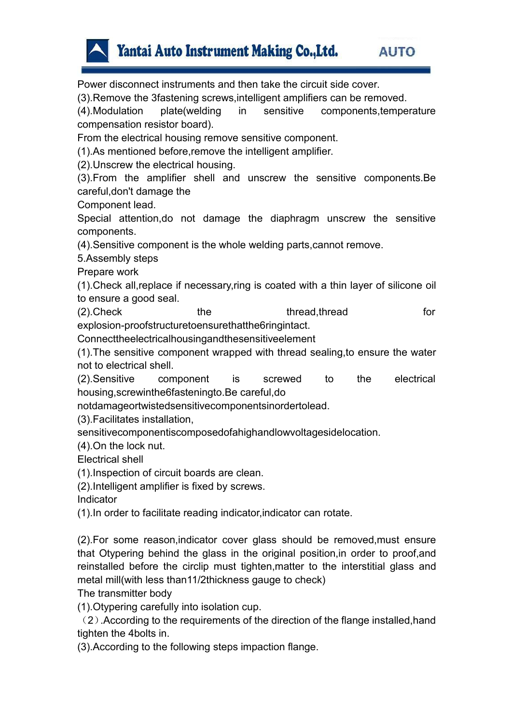

Power disconnect instruments and then take the circuit side cover.

(3).Remove the 3fastening screws,intelligent amplifiers can be removed.

(4).Modulation plate(welding in sensitive components,temperature compensation resistor board).

From the electrical housing remove sensitive component.

(1).As mentioned before,remove the intelligent amplifier.

(2).Unscrew the electrical housing.

(3).From the amplifier shell and unscrew the sensitive components.Be careful,don't damage the

Component lead.

Special attention,do not damage the diaphragm unscrew the sensitive components.

(4).Sensitive component is the whole welding parts,cannot remove.

5.Assembly steps

Prepare work

(1).Check all,replace if necessary,ring iscoated with a thin layer of silicone oil to ensure a good seal.

(2). Check the thread, thread thread thread for explosion-proofstructuretoensurethatthe6ringintact.

Connecttheelectricalhousingandthesensitiveelement

(1).The sensitive componentwrapped with thread sealing,to ensure the water not to electrical shell.

(2).Sensitive component is screwed to the electrical housing,screwinthe6fasteningto.Be careful,do

notdamageortwistedsensitivecomponentsinordertolead.

(3).Facilitates installation,

sensitivecomponentiscomposedofahighandlowvoltagesidelocation.

(4).On the lock nut.

Electrical shell

(1).Inspection of circuit boards are clean.

(2).Intelligent amplifier is fixed by screws.

Indicator

(1).In order to facilitate reading indicator,indicator can rotate.

(2).For some reason,indicator cover glass should be removed,must ensure that Otypering behind the glass in the original position,in order to proof,and reinstalled before the circlip must tighten,matter to the interstitial glass and metal mill(with less than11/2thickness gauge to check)

The transmitter body

(1).Otypering carefully into isolation cup.

(2).According to the requirements of the direction of the flange installed,hand tighten the 4bolts in.

(3).According to the following steps impaction flange.